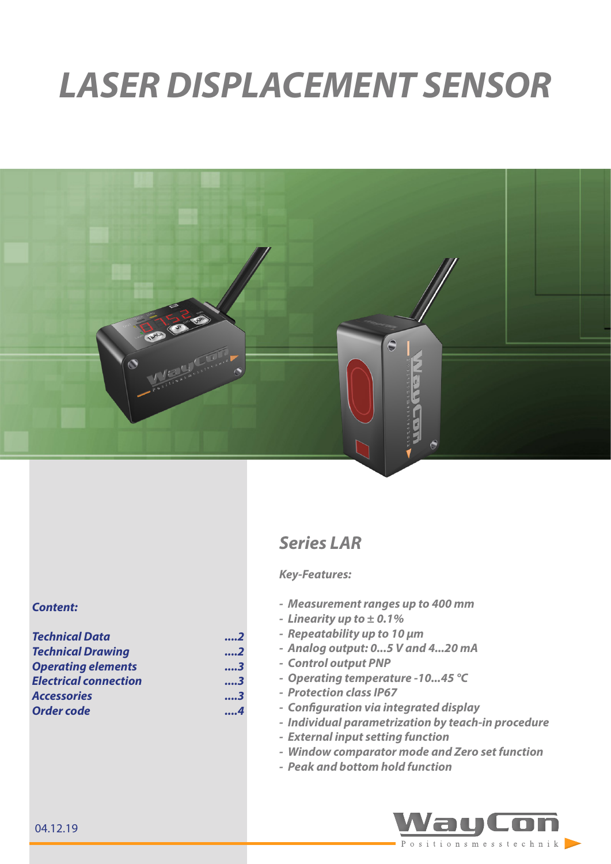# *LASER DISPLACEMENT SENSOR*



# *Series LAR*

#### *Key-Features:*

- *- Measurement ranges up to 400 mm*
- *- Linearity up to ± 0.1%*
- *- Repeatability up to 10 µm*
- *- Analog output: 0...5 V and 4...20 mA*
- *- Control output PNP*
	- *- Operating temperature -10...45 °C*
- *- Protection class IP67*
- *- Configuration via integrated display*
- *- Individual parametrization by teach-in procedure*
- *- External input setting function*
- *- Window comparator mode and Zero set function*
- *- Peak and bottom hold function*



#### *Content:*

| <b>Technical Data</b>        | 2   |
|------------------------------|-----|
| <b>Technical Drawing</b>     | 2   |
| <b>Operating elements</b>    | 3   |
| <b>Electrical connection</b> | 3   |
| <b>Accessories</b>           | 3   |
| Order code                   | . 4 |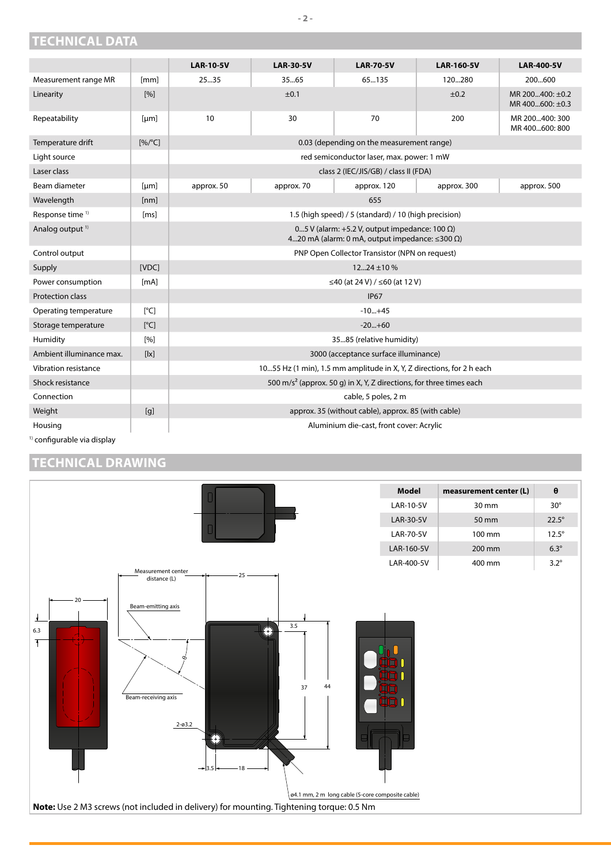## <span id="page-1-0"></span>**TECHNICAL DATA**

|                             |                           | <b>LAR-10-5V</b>                                                                                                      | <b>LAR-30-5V</b> | <b>LAR-70-5V</b>                                    | <b>LAR-160-5V</b> | <b>LAR-400-5V</b>                  |
|-----------------------------|---------------------------|-----------------------------------------------------------------------------------------------------------------------|------------------|-----------------------------------------------------|-------------------|------------------------------------|
| Measurement range MR        | [mm]                      | 2535                                                                                                                  | 35.65            | 65135                                               | 120280            | 200600                             |
| Linearity                   | [%]                       |                                                                                                                       | ±0.1             |                                                     | ±0.2              | MR 200400: ±0.2<br>MR 400600: ±0.3 |
| Repeatability               | [µm]                      | 10                                                                                                                    | 30               | 70                                                  | 200               | MR 200400: 300<br>MR 400600: 800   |
| Temperature drift           | $[%$ /°C]                 | 0.03 (depending on the measurement range)                                                                             |                  |                                                     |                   |                                    |
| Light source                |                           | red semiconductor laser, max. power: 1 mW                                                                             |                  |                                                     |                   |                                    |
| Laser class                 |                           | class 2 (IEC/JIS/GB) / class II (FDA)                                                                                 |                  |                                                     |                   |                                    |
| Beam diameter               | [µm]                      | approx. 50                                                                                                            | approx. 70       | approx. 120                                         | approx. 300       | approx. 500                        |
| Wavelength                  | [nm]                      |                                                                                                                       |                  | 655                                                 |                   |                                    |
| Response time <sup>1)</sup> | [ms]                      | 1.5 (high speed) / 5 (standard) / 10 (high precision)                                                                 |                  |                                                     |                   |                                    |
| Analog output <sup>1)</sup> |                           | 05 V (alarm: +5.2 V, output impedance: 100 $\Omega$ )<br>420 mA (alarm: 0 mA, output impedance: $\leq$ 300 $\Omega$ ) |                  |                                                     |                   |                                    |
| Control output              |                           | PNP Open Collector Transistor (NPN on request)                                                                        |                  |                                                     |                   |                                    |
| Supply                      | [VDC]                     | $12 \dots 24 \pm 10 \%$                                                                                               |                  |                                                     |                   |                                    |
| Power consumption           | [mA]                      | ≤40 (at 24 V) / ≤60 (at 12 V)                                                                                         |                  |                                                     |                   |                                    |
| <b>Protection class</b>     |                           | <b>IP67</b>                                                                                                           |                  |                                                     |                   |                                    |
| Operating temperature       | $\lceil{^{\circ}C}\rceil$ | $-10+45$                                                                                                              |                  |                                                     |                   |                                    |
| Storage temperature         | [°C]                      | $-20+60$                                                                                                              |                  |                                                     |                   |                                    |
| Humidity                    | [%]                       | 3585 (relative humidity)                                                                                              |                  |                                                     |                   |                                    |
| Ambient illuminance max.    | [ x]                      | 3000 (acceptance surface illuminance)                                                                                 |                  |                                                     |                   |                                    |
| Vibration resistance        |                           | 1055 Hz (1 min), 1.5 mm amplitude in X, Y, Z directions, for 2 h each                                                 |                  |                                                     |                   |                                    |
| Shock resistance            |                           | 500 m/s <sup>2</sup> (approx. 50 g) in X, Y, Z directions, for three times each                                       |                  |                                                     |                   |                                    |
| Connection                  |                           | cable, 5 poles, 2 m                                                                                                   |                  |                                                     |                   |                                    |
| Weight                      | [g]                       |                                                                                                                       |                  | approx. 35 (without cable), approx. 85 (with cable) |                   |                                    |
| Housing                     |                           |                                                                                                                       |                  | Aluminium die-cast, front cover: Acrylic            |                   |                                    |

<sup>1)</sup> configurable via display

# **TECHNICAL DRAWING**

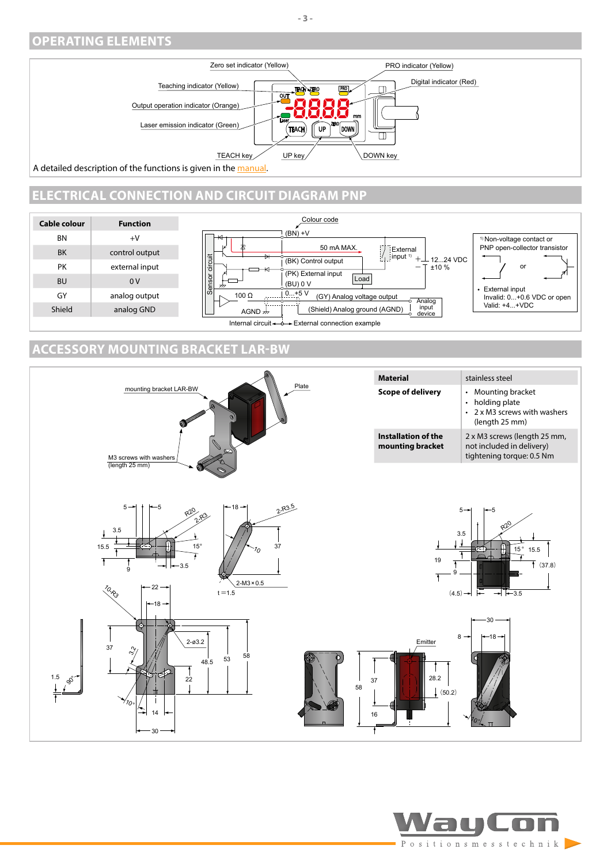#### <span id="page-2-0"></span>**OPERATING ELEMENTS**



A detailed description of the functions is given in the [manual.](https://www.waycon.biz/fileadmin/laser-sensors/Laser-Displacement-Sensor-LAR-Installation-Guide.pdf)

## **ELECTRICAL CONNECTION AND CIRCUIT DIAGRAM PNP**



## **ACCESSORY MOUNTING BRACKET LAR-BW**